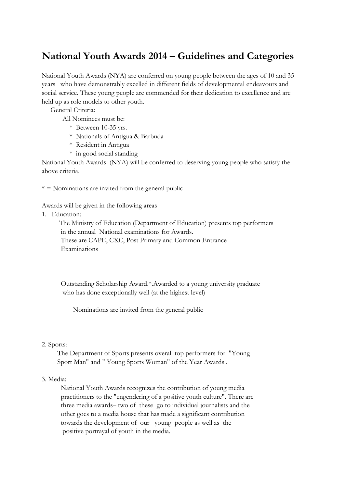# **National Youth Awards 2014 – Guidelines and Categories**

National Youth Awards (NYA) are conferred on young people between the ages of 10 and 35 years who have demonstrably excelled in different fields of developmental endeavours and social service. These young people are commended for their dedication to excellence and are held up as role models to other youth.

General Criteria:

All Nominees must be:

- \* Between 10-35 yrs.
- \* Nationals of Antigua & Barbuda
- \* Resident in Antigua
- \* in good social standing

National Youth Awards (NYA) will be conferred to deserving young people who satisfy the above criteria.

 $* =$  Nominations are invited from the general public

Awards will be given in the following areas

1. Education:

 The Ministry of Education (Department of Education) presents top performers in the annual National examinations for Awards. These are CAPE, CXC, Post Primary and Common Entrance Examinations

 Outstanding Scholarship Award.\*.Awarded to a young university graduate who has done exceptionally well (at the highest level)

Nominations are invited from the general public

# 2. Sports:

 The Department of Sports presents overall top performers for "Young Sport Man" and " Young Sports Woman" of the Year Awards .

# 3. Media:

 National Youth Awards recognizes the contribution of young media practitioners to the "engendering of a positive youth culture". There are three media awards– two of these go to individual journalists and the other goes to a media house that has made a significant contribution towards the development of our young people as well as the positive portrayal of youth in the media.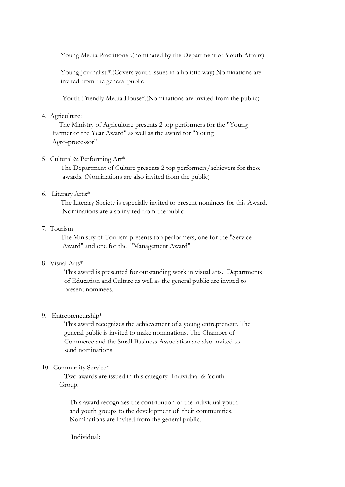Young Media Practitioner.(nominated by the Department of Youth Affairs)

Young Journalist.\*.(Covers youth issues in a holistic way) Nominations are invited from the general public

Youth-Friendly Media House\*.(Nominations are invited from the public)

# 4. Agriculture:

 The Ministry of Agriculture presents 2 top performers for the "Young Farmer of the Year Award" as well as the award for "Young Agro-processor"

# 5 Cultural & Performing Art\*

 The Department of Culture presents 2 top performers/achievers for these awards. (Nominations are also invited from the public)

### 6. Literary Arts:\*

 The Literary Society is especially invited to present nominees for this Award. Nominations are also invited from the public

# 7. Tourism

 The Ministry of Tourism presents top performers, one for the "Service Award" and one for the "Management Award"

# 8. Visual Arts\*

 This award is presented for outstanding work in visual arts. Departments of Education and Culture as well as the general public are invited to present nominees.

# 9. Entrepreneurship\*

 This award recognizes the achievement of a young entrepreneur. The general public is invited to make nominations. The Chamber of Commerce and the Small Business Association are also invited to send nominations

# 10. Community Service\*

 Two awards are issued in this category -Individual & Youth Group.

 This award recognizes the contribution of the individual youth and youth groups to the development of their communities. Nominations are invited from the general public.

Individual: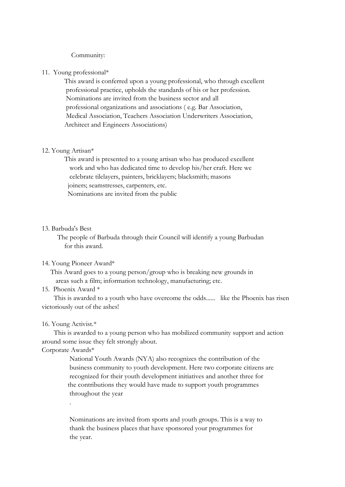#### Community:

#### 11. Young professional\*

 This award is conferred upon a young professional, who through excellent professional practice, upholds the standards of his or her profession. Nominations are invited from the business sector and all professional organizations and associations ( e.g. Bar Association, Medical Association, Teachers Association Underwriters Association, Architect and Engineers Associations)

#### 12. Young Artisan\*

 This award is presented to a young artisan who has produced excellent work and who has dedicated time to develop his/her craft. Here we celebrate tilelayers, painters, bricklayers; blacksmith; masons joiners; seamstresses, carpenters, etc. Nominations are invited from the public

#### 13. Barbuda's Best

 The people of Barbuda through their Council will identify a young Barbudan for this award.

# 14. Young Pioneer Award\*

 This Award goes to a young person/group who is breaking new grounds in areas such a film; information technology, manufacturing; etc.

#### 15. Phoenix Award \*

 This is awarded to a youth who have overcome the odds...... like the Phoenix has risen victoriously out of the ashes!

#### 16. Young Activist.\*

 This is awarded to a young person who has mobilized community support and action around some issue they felt strongly about.

### Corporate Awards\*

.

 National Youth Awards (NYA) also recognizes the contribution of the business community to youth development. Here two corporate citizens are recognized for their youth development initiatives and another three for the contributions they would have made to support youth programmes throughout the year

 Nominations are invited from sports and youth groups. This is a way to thank the business places that have sponsored your programmes for the year.